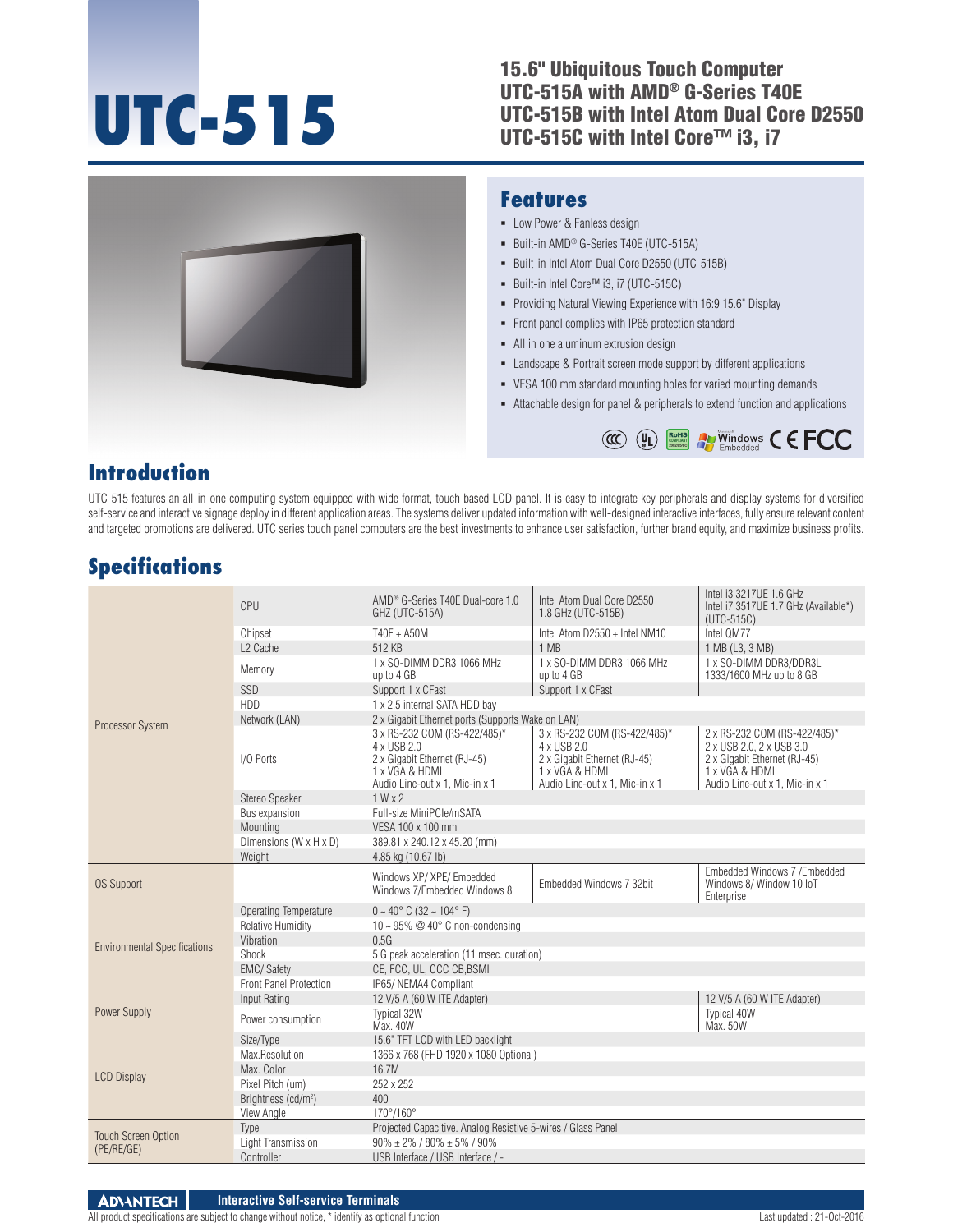# **UTC-515**

#### 15.6" Ubiquitous Touch Computer UTC-515A with AMD® G-Series T40E UTC-515B with Intel Atom Dual Core D2550 UTC-515C with Intel Core™ i3, i7



### **Introduction**

UTC-515 features an all-in-one computing system equipped with wide format, touch based LCD panel. It is easy to integrate key peripherals and display systems for diversified self-service and interactive signage deploy in different application areas. The systems deliver updated information with well-designed interactive interfaces, fully ensure relevant content and targeted promotions are delivered. UTC series touch panel computers are the best investments to enhance user satisfaction, further brand equity, and maximize business profits.

## **Specifications**

|                                          | CPU                             | AMD <sup>®</sup> G-Series T40E Dual-core 1.0<br>GHZ (UTC-515A)                                                                  | Intel Atom Dual Core D2550<br>1.8 GHz (UTC-515B)                                                                                | Intel i3 3217UE 1.6 GHz<br>Intel i7 3517UE 1.7 GHz (Available*)<br>$(UTC-515C)$                                                              |  |
|------------------------------------------|---------------------------------|---------------------------------------------------------------------------------------------------------------------------------|---------------------------------------------------------------------------------------------------------------------------------|----------------------------------------------------------------------------------------------------------------------------------------------|--|
|                                          | Chipset                         | T40E + A50M                                                                                                                     | Intel Atom D2550 + Intel NM10                                                                                                   | Intel QM77                                                                                                                                   |  |
|                                          | L <sub>2</sub> Cache            | 512 KB                                                                                                                          | 1 MB                                                                                                                            | 1 MB (L3, 3 MB)                                                                                                                              |  |
|                                          | Memory                          | 1 x SO-DIMM DDR3 1066 MHz<br>up to 4 GB                                                                                         | 1 x SO-DIMM DDR3 1066 MHz<br>up to 4 GB                                                                                         | 1 x SO-DIMM DDR3/DDR3L<br>1333/1600 MHz up to 8 GB                                                                                           |  |
|                                          | SSD                             | Support 1 x CFast                                                                                                               | Support 1 x CFast                                                                                                               |                                                                                                                                              |  |
|                                          | <b>HDD</b>                      | 1 x 2.5 internal SATA HDD bay                                                                                                   |                                                                                                                                 |                                                                                                                                              |  |
| <b>Processor System</b>                  | Network (LAN)                   | 2 x Gigabit Ethernet ports (Supports Wake on LAN)                                                                               |                                                                                                                                 |                                                                                                                                              |  |
|                                          | I/O Ports                       | 3 x RS-232 COM (RS-422/485)*<br>4 x USB 2.0<br>2 x Gigabit Ethernet (RJ-45)<br>1 x VGA & HDMI<br>Audio Line-out x 1, Mic-in x 1 | 3 x RS-232 COM (RS-422/485)*<br>4 x USB 2.0<br>2 x Gigabit Ethernet (RJ-45)<br>1 x VGA & HDMI<br>Audio Line-out x 1, Mic-in x 1 | 2 x RS-232 COM (RS-422/485)*<br>2 x USB 2.0, 2 x USB 3.0<br>2 x Gigabit Ethernet (RJ-45)<br>1 x VGA & HDMI<br>Audio Line-out x 1, Mic-in x 1 |  |
|                                          | Stereo Speaker                  | 1 W x 2                                                                                                                         |                                                                                                                                 |                                                                                                                                              |  |
|                                          | Bus expansion                   | Full-size MiniPCle/mSATA                                                                                                        |                                                                                                                                 |                                                                                                                                              |  |
|                                          | Mounting                        | VESA 100 x 100 mm                                                                                                               |                                                                                                                                 |                                                                                                                                              |  |
|                                          | Dimensions (W x H x D)          | 389.81 x 240.12 x 45.20 (mm)                                                                                                    |                                                                                                                                 |                                                                                                                                              |  |
|                                          | Weight                          | 4.85 kg (10.67 lb)                                                                                                              |                                                                                                                                 |                                                                                                                                              |  |
| <b>OS Support</b>                        |                                 | Windows XP/ XPE/ Embedded<br>Windows 7/Embedded Windows 8                                                                       | Embedded Windows 7 32bit                                                                                                        | Embedded Windows 7 / Embedded<br>Windows 8/ Window 10 IoT<br>Enterprise                                                                      |  |
|                                          | <b>Operating Temperature</b>    | $0 \sim 40^{\circ}$ C (32 ~ 104° F)                                                                                             |                                                                                                                                 |                                                                                                                                              |  |
|                                          | <b>Relative Humidity</b>        | 10 ~ 95% $@$ 40 $^{\circ}$ C non-condensing                                                                                     |                                                                                                                                 |                                                                                                                                              |  |
| <b>Environmental Specifications</b>      | Vibration                       | 0.5G                                                                                                                            |                                                                                                                                 |                                                                                                                                              |  |
|                                          | Shock                           | 5 G peak acceleration (11 msec. duration)                                                                                       |                                                                                                                                 |                                                                                                                                              |  |
|                                          | <b>EMC/Safety</b>               | CE, FCC, UL, CCC CB, BSMI                                                                                                       |                                                                                                                                 |                                                                                                                                              |  |
|                                          | Front Panel Protection          | IP65/ NEMA4 Compliant                                                                                                           |                                                                                                                                 |                                                                                                                                              |  |
|                                          | Input Rating                    | 12 V/5 A (60 W ITE Adapter)                                                                                                     |                                                                                                                                 | 12 V/5 A (60 W ITE Adapter)                                                                                                                  |  |
| Power Supply                             | Power consumption               | Typical 32W<br>Max. 40W                                                                                                         |                                                                                                                                 | Typical 40W<br>Max. 50W                                                                                                                      |  |
|                                          | Size/Type                       | 15.6" TFT LCD with LED backlight                                                                                                |                                                                                                                                 |                                                                                                                                              |  |
|                                          | Max.Resolution                  | 1366 x 768 (FHD 1920 x 1080 Optional)                                                                                           |                                                                                                                                 |                                                                                                                                              |  |
| <b>LCD Display</b>                       | Max. Color                      | 16.7M                                                                                                                           |                                                                                                                                 |                                                                                                                                              |  |
|                                          | Pixel Pitch (um)                | 252 x 252                                                                                                                       |                                                                                                                                 |                                                                                                                                              |  |
|                                          | Brightness (cd/m <sup>2</sup> ) | 400                                                                                                                             |                                                                                                                                 |                                                                                                                                              |  |
|                                          | View Angle                      | 170°/160°                                                                                                                       |                                                                                                                                 |                                                                                                                                              |  |
| <b>Touch Screen Option</b><br>(PE/RE/GE) | Type                            | Projected Capacitive. Analog Resistive 5-wires / Glass Panel                                                                    |                                                                                                                                 |                                                                                                                                              |  |
|                                          | Light Transmission              | $90\% \pm 2\%$ / $80\% \pm 5\%$ / $90\%$                                                                                        |                                                                                                                                 |                                                                                                                                              |  |
|                                          | Controller                      | USB Interface / USB Interface / -                                                                                               |                                                                                                                                 |                                                                                                                                              |  |